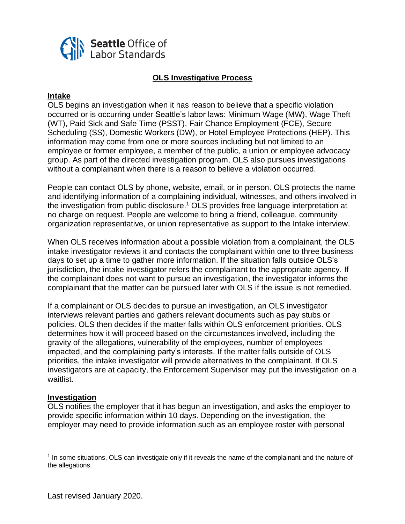

# **OLS Investigative Process**

#### **Intake**

OLS begins an investigation when it has reason to believe that a specific violation occurred or is occurring under Seattle's labor laws: Minimum Wage (MW), Wage Theft (WT), Paid Sick and Safe Time (PSST), Fair Chance Employment (FCE), Secure Scheduling (SS), Domestic Workers (DW), or Hotel Employee Protections (HEP). This information may come from one or more sources including but not limited to an employee or former employee, a member of the public, a union or employee advocacy group. As part of the directed investigation program, OLS also pursues investigations without a complainant when there is a reason to believe a violation occurred.

People can contact OLS by phone, website, email, or in person. OLS protects the name and identifying information of a complaining individual, witnesses, and others involved in the investigation from public disclosure.<sup>1</sup> OLS provides free language interpretation at no charge on request. People are welcome to bring a friend, colleague, community organization representative, or union representative as support to the Intake interview.

When OLS receives information about a possible violation from a complainant, the OLS intake investigator reviews it and contacts the complainant within one to three business days to set up a time to gather more information. If the situation falls outside OLS's jurisdiction, the intake investigator refers the complainant to the appropriate agency. If the complainant does not want to pursue an investigation, the investigator informs the complainant that the matter can be pursued later with OLS if the issue is not remedied.

If a complainant or OLS decides to pursue an investigation, an OLS investigator interviews relevant parties and gathers relevant documents such as pay stubs or policies. OLS then decides if the matter falls within OLS enforcement priorities. OLS determines how it will proceed based on the circumstances involved, including the gravity of the allegations, vulnerability of the employees, number of employees impacted, and the complaining party's interests. If the matter falls outside of OLS priorities, the intake investigator will provide alternatives to the complainant. If OLS investigators are at capacity, the Enforcement Supervisor may put the investigation on a waitlist.

### **Investigation**

OLS notifies the employer that it has begun an investigation, and asks the employer to provide specific information within 10 days. Depending on the investigation, the employer may need to provide information such as an employee roster with personal

<sup>&</sup>lt;sup>1</sup> In some situations, OLS can investigate only if it reveals the name of the complainant and the nature of the allegations.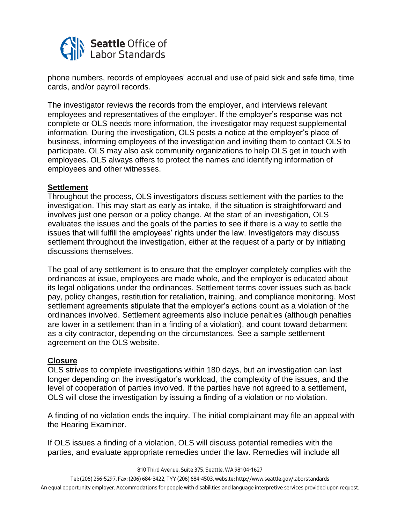

phone numbers, records of employees' accrual and use of paid sick and safe time, time cards, and/or payroll records.

The investigator reviews the records from the employer, and interviews relevant employees and representatives of the employer. If the employer's response was not complete or OLS needs more information, the investigator may request supplemental information. During the investigation, OLS posts a notice at the employer's place of business, informing employees of the investigation and inviting them to contact OLS to participate. OLS may also ask community organizations to help OLS get in touch with employees. OLS always offers to protect the names and identifying information of employees and other witnesses.

### **Settlement**

Throughout the process, OLS investigators discuss settlement with the parties to the investigation. This may start as early as intake, if the situation is straightforward and involves just one person or a policy change. At the start of an investigation, OLS evaluates the issues and the goals of the parties to see if there is a way to settle the issues that will fulfill the employees' rights under the law. Investigators may discuss settlement throughout the investigation, either at the request of a party or by initiating discussions themselves.

The goal of any settlement is to ensure that the employer completely complies with the ordinances at issue, employees are made whole, and the employer is educated about its legal obligations under the ordinances. Settlement terms cover issues such as back pay, policy changes, restitution for retaliation, training, and compliance monitoring. Most settlement agreements stipulate that the employer's actions count as a violation of the ordinances involved. Settlement agreements also include penalties (although penalties are lower in a settlement than in a finding of a violation), and count toward debarment as a city contractor, depending on the circumstances. See a sample settlement agreement on the OLS website.

### **Closure**

OLS strives to complete investigations within 180 days, but an investigation can last longer depending on the investigator's workload, the complexity of the issues, and the level of cooperation of parties involved. If the parties have not agreed to a settlement, OLS will close the investigation by issuing a finding of a violation or no violation.

A finding of no violation ends the inquiry. The initial complainant may file an appeal with the Hearing Examiner.

If OLS issues a finding of a violation, OLS will discuss potential remedies with the parties, and evaluate appropriate remedies under the law. Remedies will include all

*810 Third Avenue, Suite 375, Seattle, WA 98104-1627*

*Tel: (206) 256-5297, Fax: (206) 684-3422, TYY (206) 684-4503, website: http://www.seattle.gov/laborstandards An equal opportunity employer. Accommodations for people with disabilities and language interpretive services provided upon request.*